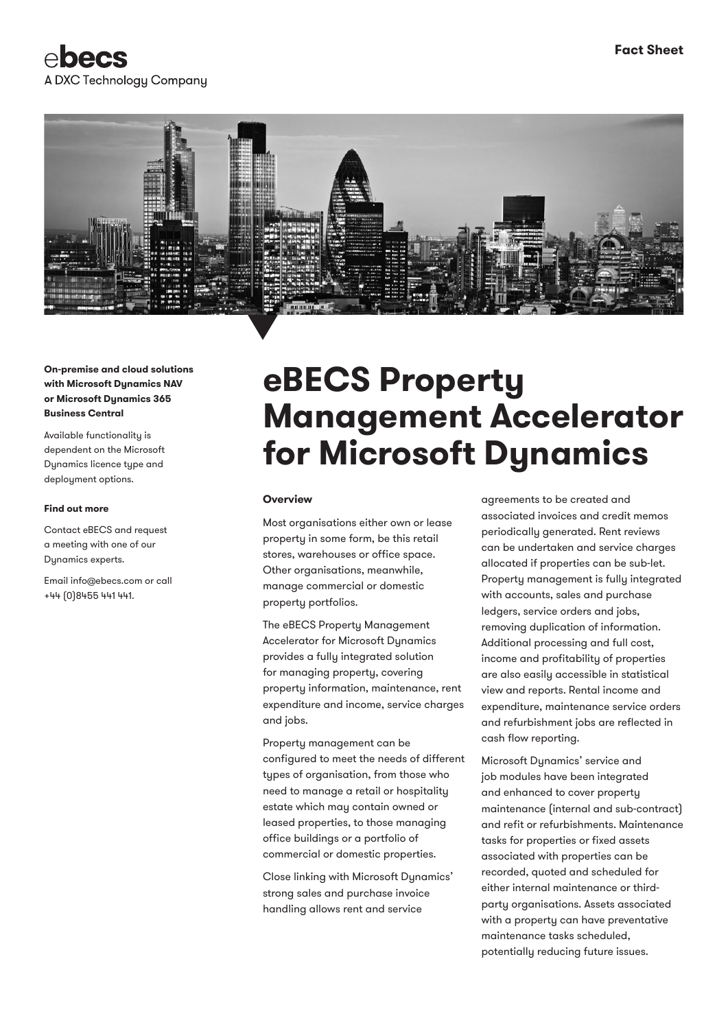



**On-premise and cloud solutions with Microsoft Dynamics NAV or Microsoft Dynamics 365 Business Central**

Available functionality is dependent on the Microsoft Dynamics licence type and deployment options.

#### **Find out more**

Contact eBECS and request a meeting with one of our Dynamics experts.

Email info@ebecs.com or call +44 (0)8455 441 441.

# **eBECS Property Management Accelerator for Microsoft Dynamics**

#### **Overview**

Most organisations either own or lease property in some form, be this retail stores, warehouses or office space. Other organisations, meanwhile, manage commercial or domestic property portfolios.

The eBECS Property Management Accelerator for Microsoft Dynamics provides a fully integrated solution for managing property, covering property information, maintenance, rent expenditure and income, service charges and jobs.

Property management can be configured to meet the needs of different types of organisation, from those who need to manage a retail or hospitality estate which may contain owned or leased properties, to those managing office buildings or a portfolio of commercial or domestic properties.

Close linking with Microsoft Dynamics' strong sales and purchase invoice handling allows rent and service

agreements to be created and associated invoices and credit memos periodically generated. Rent reviews can be undertaken and service charges allocated if properties can be sub-let. Property management is fully integrated with accounts, sales and purchase ledgers, service orders and jobs, removing duplication of information. Additional processing and full cost, income and profitability of properties are also easily accessible in statistical view and reports. Rental income and expenditure, maintenance service orders and refurbishment jobs are reflected in cash flow reporting.

Microsoft Dynamics' service and job modules have been integrated and enhanced to cover property maintenance (internal and sub-contract) and refit or refurbishments. Maintenance tasks for properties or fixed assets associated with properties can be recorded, quoted and scheduled for either internal maintenance or thirdparty organisations. Assets associated with a property can have preventative maintenance tasks scheduled, potentially reducing future issues.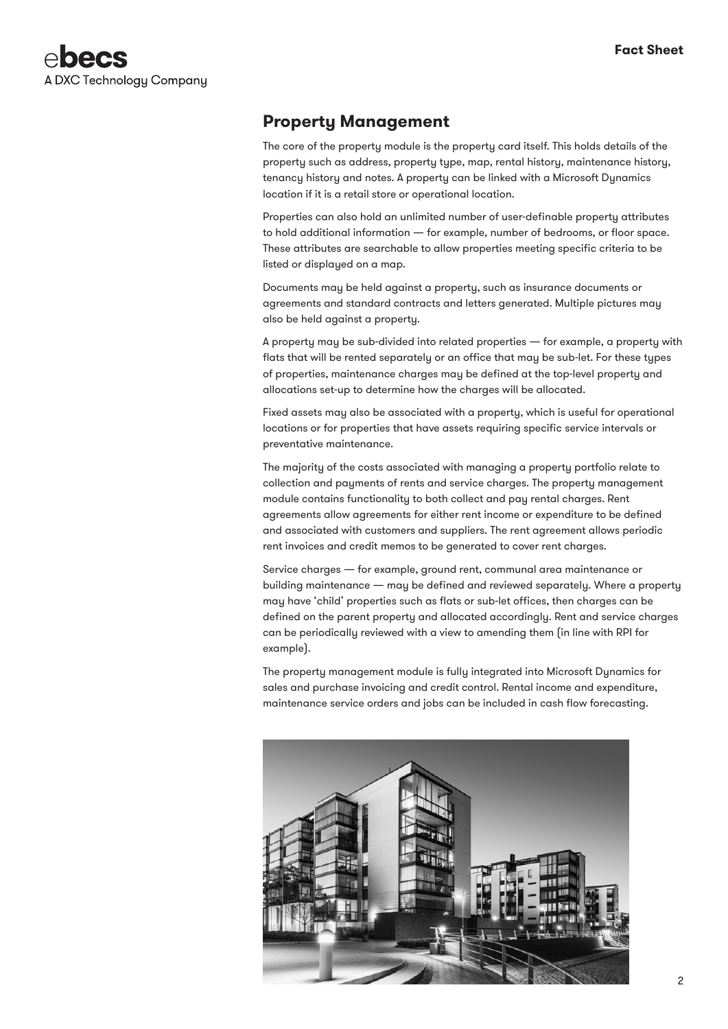

## **Property Management**

The core of the property module is the property card itself. This holds details of the property such as address, property type, map, rental history, maintenance history, tenancy history and notes. A property can be linked with a Microsoft Dynamics location if it is a retail store or operational location.

Properties can also hold an unlimited number of user-definable property attributes to hold additional information — for example, number of bedrooms, or floor space. These attributes are searchable to allow properties meeting specific criteria to be listed or displayed on a map.

Documents may be held against a property, such as insurance documents or agreements and standard contracts and letters generated. Multiple pictures may also be held against a property.

A property may be sub-divided into related properties — for example, a property with flats that will be rented separately or an office that may be sub-let. For these types of properties, maintenance charges may be defined at the top-level property and allocations set-up to determine how the charges will be allocated.

Fixed assets may also be associated with a property, which is useful for operational locations or for properties that have assets requiring specific service intervals or preventative maintenance.

The majority of the costs associated with managing a property portfolio relate to collection and payments of rents and service charges. The property management module contains functionality to both collect and pay rental charges. Rent agreements allow agreements for either rent income or expenditure to be defined and associated with customers and suppliers. The rent agreement allows periodic rent invoices and credit memos to be generated to cover rent charges.

Service charges — for example, ground rent, communal area maintenance or building maintenance — may be defined and reviewed separately. Where a property may have 'child' properties such as flats or sub-let offices, then charges can be defined on the parent property and allocated accordingly. Rent and service charges can be periodically reviewed with a view to amending them (in line with RPI for example).

The property management module is fully integrated into Microsoft Dynamics for sales and purchase invoicing and credit control. Rental income and expenditure, maintenance service orders and jobs can be included in cash flow forecasting.

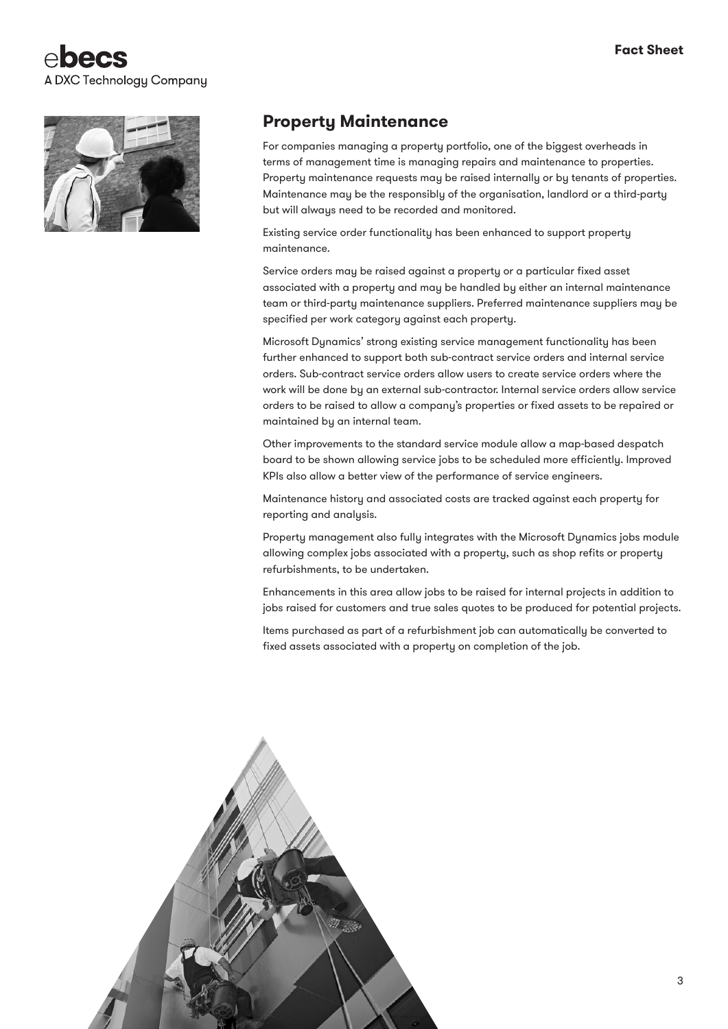



## **Property Maintenance**

For companies managing a property portfolio, one of the biggest overheads in terms of management time is managing repairs and maintenance to properties. Property maintenance requests may be raised internally or by tenants of properties. Maintenance may be the responsibly of the organisation, landlord or a third-party but will always need to be recorded and monitored.

Existing service order functionality has been enhanced to support property maintenance.

Service orders may be raised against a property or a particular fixed asset associated with a property and may be handled by either an internal maintenance team or third-party maintenance suppliers. Preferred maintenance suppliers may be specified per work category against each property.

Microsoft Dynamics' strong existing service management functionality has been further enhanced to support both sub-contract service orders and internal service orders. Sub-contract service orders allow users to create service orders where the work will be done by an external sub-contractor. Internal service orders allow service orders to be raised to allow a company's properties or fixed assets to be repaired or maintained by an internal team.

Other improvements to the standard service module allow a map-based despatch board to be shown allowing service jobs to be scheduled more efficiently. Improved KPIs also allow a better view of the performance of service engineers.

Maintenance history and associated costs are tracked against each property for reporting and analysis.

Property management also fully integrates with the Microsoft Dynamics jobs module allowing complex jobs associated with a property, such as shop refits or property refurbishments, to be undertaken.

Enhancements in this area allow jobs to be raised for internal projects in addition to jobs raised for customers and true sales quotes to be produced for potential projects.

Items purchased as part of a refurbishment job can automatically be converted to fixed assets associated with a property on completion of the job.